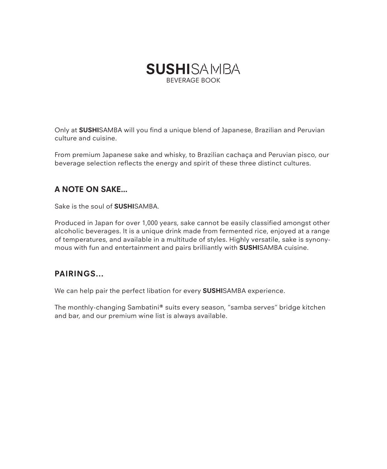

Only at **SUSHI**SAMBA will you find a unique blend of Japanese, Brazilian and Peruvian culture and cuisine.

From premium Japanese sake and whisky, to Brazilian cachaça and Peruvian pisco, our beverage selection reflects the energy and spirit of these three distinct cultures.

### **A NOTE ON SAKE…**

Sake is the soul of **SUSHI**SAMBA.

Produced in Japan for over 1,000 years, sake cannot be easily classified amongst other alcoholic beverages. It is a unique drink made from fermented rice, enjoyed at a range of temperatures, and available in a multitude of styles. Highly versatile, sake is synonymous with fun and entertainment and pairs brilliantly with **SUSHI**SAMBA cuisine.

### **PAIRINGS...**

We can help pair the perfect libation for every **SUSHI**SAMBA experience.

The monthly-changing Sambatini**®** suits every season, "samba serves" bridge kitchen and bar, and our premium wine list is always available.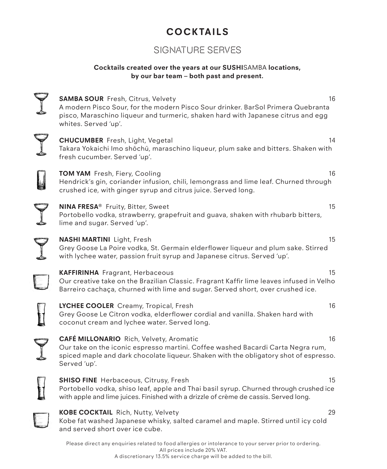# **COCKTAILS**

# SIGNATURE SERVES

### **Cocktails created over the years at our SUSHI**SAMBA **locations, by our bar team – both past and present.**

| <b>SAMBA SOUR</b> Fresh, Citrus, Velvety<br>A modern Pisco Sour, for the modern Pisco Sour drinker. BarSol Primera Quebranta<br>pisco, Maraschino liqueur and turmeric, shaken hard with Japanese citrus and egg<br>whites. Served 'up'. | 16 |
|------------------------------------------------------------------------------------------------------------------------------------------------------------------------------------------------------------------------------------------|----|
| <b>CHUCUMBER</b> Fresh, Light, Vegetal<br>Takara Yokaichi Imo shōchū, maraschino liqueur, plum sake and bitters. Shaken with<br>fresh cucumber. Served 'up'.                                                                             | 14 |
| TOM YAM Fresh, Fiery, Cooling<br>Hendrick's gin, coriander infusion, chili, lemongrass and lime leaf. Churned through<br>crushed ice, with ginger syrup and citrus juice. Served long.                                                   | 16 |
| NINA FRESA® Fruity, Bitter, Sweet<br>Portobello vodka, strawberry, grapefruit and guava, shaken with rhubarb bitters,<br>lime and sugar. Served 'up'.                                                                                    | 15 |
| <b>NASHI MARTINI</b> Light, Fresh<br>Grey Goose La Poire vodka, St. Germain elderflower liqueur and plum sake. Stirred<br>with lychee water, passion fruit syrup and Japanese citrus. Served 'up'.                                       | 15 |
| <b>KAFFIRINHA</b> Fragrant, Herbaceous<br>Our creative take on the Brazilian Classic. Fragrant Kaffir lime leaves infused in Velho<br>Barreiro cachaça, churned with lime and sugar. Served short, over crushed ice.                     | 15 |
| LYCHEE COOLER Creamy, Tropical, Fresh<br>Grey Goose Le Citron vodka, elderflower cordial and vanilla. Shaken hard with<br>coconut cream and lychee water. Served long.                                                                   | 16 |
| CAFÉ MILLONARIO Rich, Velvety, Aromatic<br>Our take on the iconic espresso martini. Coffee washed Bacardi Carta Negra rum,<br>spiced maple and dark chocolate liqueur. Shaken with the obligatory shot of espresso.<br>Served 'up'.      | 16 |
| <b>SHISO FINE</b> Herbaceous, Citrusy, Fresh<br>Portobello vodka, shiso leaf, apple and Thai basil syrup. Churned through crushed ice<br>with apple and lime juices. Finished with a drizzle of crème de cassis. Served long.            | 15 |
| <b>KOBE COCKTAIL</b> Rich, Nutty, Velvety<br>Kobe fat washed Japanese whisky, salted caramel and maple. Stirred until icy cold<br>and served short over ice cube.                                                                        | 29 |

Please direct any enquiries related to food allergies or intolerance to your server prior to ordering. All prices include 20% VAT. A discretionary 13.5% service charge will be added to the bill.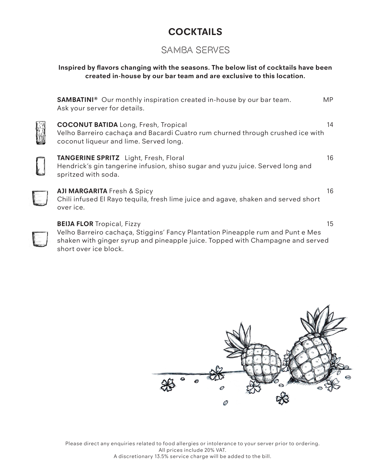# **COCKTAILS**

## SAMBA SERVES

### **Inspired by flavors changing with the seasons. The below list of cocktails have been created in-house by our bar team and are exclusive to this location.**

| <b>SAMBATINI</b> <sup>®</sup> Our monthly inspiration created in-house by our bar team.<br>Ask your server for details.                                                                                | MP.          |
|--------------------------------------------------------------------------------------------------------------------------------------------------------------------------------------------------------|--------------|
| <b>COCONUT BATIDA</b> Long, Fresh, Tropical<br>Velho Barreiro cachaça and Bacardi Cuatro rum churned through crushed ice with<br>coconut liqueur and lime. Served long.                                | 14           |
| TANGERINE SPRITZ Light, Fresh, Floral<br>Hendrick's gin tangerine infusion, shiso sugar and yuzu juice. Served long and<br>spritzed with soda.                                                         | 16           |
| <b>AJI MARGARITA</b> Fresh & Spicy<br>Chili infused El Rayo tequila, fresh lime juice and agave, shaken and served short<br>over ice.                                                                  | 16           |
| <b>BEIJA FLOR Tropical, Fizzy</b><br>Velho Barreiro cachaça, Stiggins' Fancy Plantation Pineapple rum and Punt e Mes<br>shaken with ginger syrup and pineapple juice. Topped with Champagne and served | $15^{\circ}$ |

shaken with ginger syrup and pineapple juice. Topped with Champagne and served short over ice block.



Please direct any enquiries related to food allergies or intolerance to your server prior to ordering. All prices include 20% VAT. A discretionary 13.5% service charge will be added to the bill.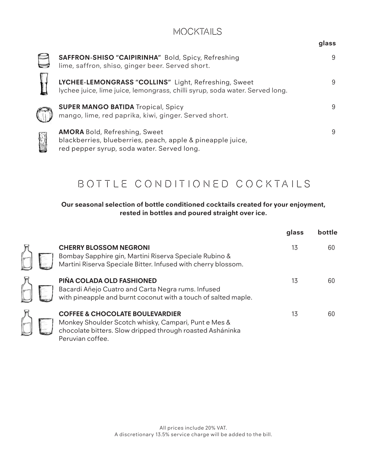### MOCKTAILS

|  | glass |
|--|-------|
|--|-------|

| SAFFRON-SHISO "CAIPIRINHA" Bold, Spicy, Refreshing<br>lime, saffron, shiso, ginger beer. Served short.                                           | 9 |
|--------------------------------------------------------------------------------------------------------------------------------------------------|---|
| LYCHEE-LEMONGRASS "COLLINS" Light, Refreshing, Sweet<br>lychee juice, lime juice, lemongrass, chilli syrup, soda water. Served long.             | 9 |
| <b>SUPER MANGO BATIDA Tropical, Spicy</b><br>mango, lime, red paprika, kiwi, ginger. Served short.                                               | 9 |
| <b>AMORA</b> Bold, Refreshing, Sweet<br>blackberries, blueberries, peach, apple & pineapple juice,<br>red pepper syrup, soda water. Served long. | 9 |

# BOTTLE CONDITIONED COCKTAILS

### **Our seasonal selection of bottle conditioned cocktails created for your enjoyment, rested in bottles and poured straight over ice.**

|                                                                                                                                                                                     | glass | bottle |
|-------------------------------------------------------------------------------------------------------------------------------------------------------------------------------------|-------|--------|
| <b>CHERRY BLOSSOM NEGRONI</b><br>Bombay Sapphire gin, Martini Riserva Speciale Rubino &<br>Martini Riserva Speciale Bitter. Infused with cherry blossom.                            | 13    | 60     |
| PIÑA COLADA OLD FASHIONED<br>Bacardi Añejo Cuatro and Carta Negra rums. Infused<br>with pineapple and burnt coconut with a touch of salted maple.                                   | 13    | 60     |
| <b>COFFEE &amp; CHOCOLATE BOULEVARDIER</b><br>Monkey Shoulder Scotch whisky, Campari, Punt e Mes &<br>chocolate bitters. Slow dripped through roasted Asháninka<br>Peruvian coffee. | 13    | 60     |

一个人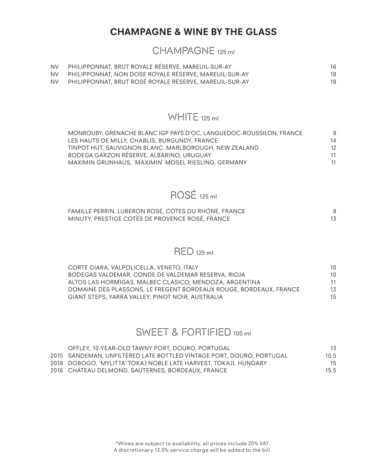## **CHAMPAGNE & WINE BY THE GLASS**

### CHAMPAGNE 125 ml

| <b>NV</b> | PHILIPPONNAT, BRUT ROYALE RÉSERVE, MAREUIL-SUR-AY      | 16 |
|-----------|--------------------------------------------------------|----|
| <b>NV</b> | PHILIPPONNAT, NON DOSE ROYALE RÉSERVE, MAREUIL-SUR-AY  | 18 |
| <b>NV</b> | PHILIPPONNAT, BRUT ROSÉ ROYALE RÉSERVE, MAREUIL-SUR-AY | 19 |

# WHITE 125 ml

| q  |
|----|
| 14 |
| 12 |
| 11 |
| 11 |
|    |

# ROSÉ 125 ml

| FAMILLE PERRIN, LUBERON ROSÉ, COTES DU RHÓNE, FRANCE |  |
|------------------------------------------------------|--|
| MINUTY, PRESTIGE COTES DE PROVENCE ROSÉ, FRANCE      |  |

### RED 125 ml

| CORTE GIARA, VALPOLICELLA, VENETO, ITALY                          | 10 |
|-------------------------------------------------------------------|----|
| BODEGAS VALDEMAR, CONDE DE VALDEMAR RESERVA, RIOJA                | 10 |
| ALTOS LAS HORMIGAS, MALBEC CLASICO, MENDOZA, ARGENTINA            | 11 |
| DOMAINE DES PLASSONS. LE FREGENT BORDEAUX ROUGE. BORDEAUX. FRANCE | 13 |
| GIANT STEPS, YARRA VALLEY, PINOT NOIR, AUSTRALIA                  | 15 |

# SWEET & FORTIFIED 100 ml

| OFFLEY, 10-YEAR-OLD TAWNY PORT, DOURO, PORTUGAL                      | 13   |
|----------------------------------------------------------------------|------|
| 2015 SANDEMAN, UNFILTERED LATE BOTTLED VINTAGE PORT, DOURO, PORTUGAL | 10.5 |
| 2018 DOBOGO, 'MYLITTA' TOKAJ NOBLE LATE HARVEST, TOKAJI, HUNGARY     | 15   |
| 2016 CHATEAU DELMOND, SAUTERNES, BORDEAUX, FRANCE                    | 15.5 |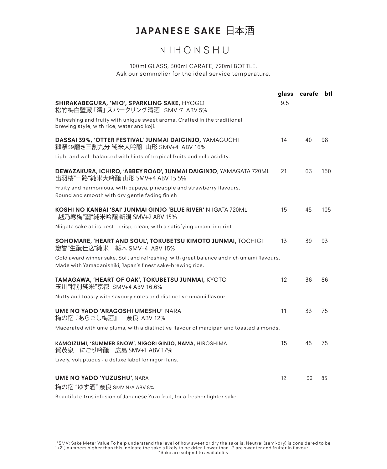# **JAPANESE SAKE** 日本酒

# NIHONSHU

#### 100ml GLASS, 300ml CARAFE, 720ml BOTTLE. Ask our sommelier for the ideal service temperature.

|                                                                                                                                                       | glass | carafe btl |     |
|-------------------------------------------------------------------------------------------------------------------------------------------------------|-------|------------|-----|
| SHIRAKABEGURA, 'MIO', SPARKLING SAKE, HYOGO<br>松竹梅白壁蔵 「澪」 スパークリング清酒 SMV 7 ABV 5%                                                                      | 9.5   |            |     |
| Refreshing and fruity with unique sweet aroma. Crafted in the traditional<br>brewing style, with rice, water and koji.                                |       |            |     |
| DASSAI 39%, 'OTTER FESTIVAL' JUNMAI DAIGINJO, YAMAGUCHI<br>獺祭39磨き三割九分 純米大吟醸 山形 SMV+4 ABV 16%                                                          | 14    | 40         | 98  |
| Light and well-balanced with hints of tropical fruits and mild acidity.                                                                               |       |            |     |
| DEWAZAKURA, ICHIRO, 'ABBEY ROAD', JUNMAI DAIGINJO, YAMAGATA 720ML<br>出羽桜"一路"純米大吟醸 山形 SMV+4 ABV 15.5%                                                  | 21    | 63         | 150 |
| Fruity and harmonious, with papaya, pineapple and strawberry flavours.<br>Round and smooth with dry gentle fading finish                              |       |            |     |
| KOSHI NO KANBAI 'SAI' JUNMAI GINJO 'BLUE RIVER' NIIGATA 720ML<br>越乃寒梅"灑"純米吟醸 新潟 SMV+2 ABV 15%                                                         | 15    | 45         | 105 |
| Niigata sake at its best-crisp, clean, with a satisfying umami imprint                                                                                |       |            |     |
| SOHOMARE, 'HEART AND SOUL', TOKUBETSU KIMOTO JUNMAI, TOCHIGI<br>惣誉"生酛仕込"純米 栃木 SMV+4 ABV 15%                                                           | 13    | 39         | 93  |
| Gold award winner sake. Soft and refreshing with great balance and rich umami flavours.<br>Made with Yamadanishiki, Japan's finest sake-brewing rice. |       |            |     |
| TAMAGAWA, 'HEART OF OAK', TOKUBETSU JUNMAI, KYOTO<br>玉川"特別純米"京都 SMV+4 ABV 16.6%                                                                       | 12    | 36         | 86  |
| Nutty and toasty with savoury notes and distinctive umami flavour.                                                                                    |       |            |     |
| <b>UME NO YADO 'ARAGOSHI UMESHU' NARA</b><br>梅の宿『あらごし梅酒』<br>奈良 ABV 12%                                                                                | 11    | 33         | 75  |
| Macerated with ume plums, with a distinctive flavour of marzipan and toasted almonds.                                                                 |       |            |     |
| KAMOIZUMI, 'SUMMER SNOW', NIGORI GINJO, NAMA, HIROSHIMA<br>賀茂泉 にごり吟醸 広島 SMV+1 ABV 17%                                                                 | 15    | 45         | 75  |
| Lively, voluptuous - a deluxe label for nigori fans.                                                                                                  |       |            |     |
| <b>UME NO YADO 'YUZUSHU', NARA</b>                                                                                                                    | 12    | 36         | 85  |
| 梅の宿 "ゆず酒" 奈良 SMV N/A ABV 8%                                                                                                                           |       |            |     |

Beautiful citrus infusion of Japanese Yuzu fruit, for a fresher lighter sake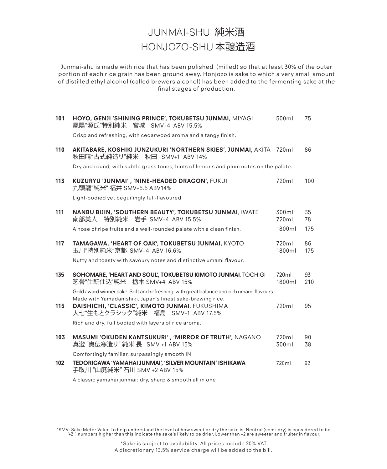# JUNMAI-SHU 純米酒 HONJOZO-SHU 本醸造酒

Junmai-shu is made with rice that has been polished (milled) so that at least 30% of the outer portion of each rice grain has been ground away. Honjozo is sake to which a very small amount of distilled ethyl alcohol (called brewers alcohol) has been added to the fermenting sake at the final stages of production.

| 101 | HOYO, GENJI 'SHINING PRINCE', TOKUBETSU JUNMAI, MIYAGI<br>鳳陽"源氏"特別純米 宮城 SMV+4 ABV 15.5%                                                               | 500ml           | 75        |
|-----|-------------------------------------------------------------------------------------------------------------------------------------------------------|-----------------|-----------|
|     | Crisp and refreshing, with cedarwood aroma and a tangy finish.                                                                                        |                 |           |
| 110 | AKITABARE, KOSHIKI JUNZUKURI 'NORTHERN SKIES', JUNMAI, AKITA 720ml<br>秋田晴"古式純造り"純米―秋田 SMV+1 ABV 14%                                                   |                 | 86        |
|     | Dry and round, with subtle grass tones, hints of lemons and plum notes on the palate.                                                                 |                 |           |
| 113 | KUZURYU 'JUNMAI', 'NINE-HEADED DRAGON', FUKUI<br>九頭龍"純米" 福井 SMV+5.5 ABV14%                                                                            | 720ml           | 100       |
|     | Light-bodied yet beguilingly full-flavoured                                                                                                           |                 |           |
| 111 | NANBU BIJIN, 'SOUTHERN BEAUTY', TOKUBETSU JUNMAI, IWATE<br>南部美人 特別純米 岩手 SMV+4 ABV 15.5%                                                               | 300ml<br>720ml  | 35<br>78  |
|     | A nose of ripe fruits and a well-rounded palate with a clean finish.                                                                                  | 1800ml          | 175       |
| 117 | TAMAGAWA, 'HEART OF OAK', TOKUBETSU JUNMAI, KYOTO<br>玉川"特別純米"京都 SMV+4 ABV 16.6%                                                                       | 720ml<br>1800ml | 86<br>175 |
|     | Nutty and toasty with savoury notes and distinctive umami flavour.                                                                                    |                 |           |
| 135 | SOHOMARE, 'HEART AND SOUL', TOKUBETSU KIMOTO JUNMAI, TOCHIGI<br>惣誉"生酛仕込"純米 栃木 SMV+4 ABV 15%                                                           | 720ml<br>1800ml | 93<br>210 |
|     | Gold award winner sake. Soft and refreshing with great balance and rich umami flavours.<br>Made with Yamadanishiki, Japan's finest sake-brewing rice. |                 |           |
| 115 | DAISHICHI, 'CLASSIC', KIMOTO JUNMAI, FUKUSHIMA<br>大七"生もとクラシック"純米 福島 SMV+1 ABV 17.5%                                                                   | 720ml           | 95        |
|     | Rich and dry, full bodied with layers of rice aroma.                                                                                                  |                 |           |
| 103 | <b>MASUMI 'OKUDEN KANTSUKURI', 'MIRROR OF TRUTH', NAGANO</b><br>真澄 "奥伝寒造り" 純米 長 SMV +1 ABV 15%                                                        | 720ml<br>300ml  | 90<br>38  |
|     | Comfortingly familiar, surpassingly smooth IN                                                                                                         |                 |           |
| 102 | TEDORIGAWA 'YAMAHAI JUNMAI', 'SILVER MOUNTAIN' ISHIKAWA<br>手取川 "山廃純米" 石川 SMV +2 ABV 15%                                                               | 720ml           | 92        |
|     | A classic yamahai junmai: dry, sharp & smooth all in one                                                                                              |                 |           |

\*SMV: Sake Meter Value To help understand the level of how sweet or dry the sake is. Neutral (semi-dry) is considered to be<br>42″, numbers higher than this indicate the sake's likely to be drier. Lower than +2 are sweeter an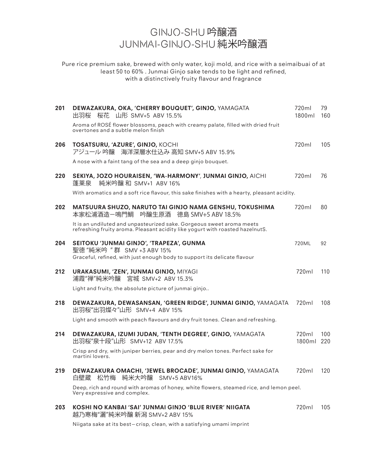# GINJO-SHU 吟醸酒 JUNMAI-GINJO-SHU 純米吟醸酒

Pure rice premium sake, brewed with only water, koji mold, and rice with a seimaibuai of at least 50 to 60% . Junmai Ginjo sake tends to be light and refined, with a distinctively fruity flavour and fragrance

| 201 | DEWAZAKURA, OKA, 'CHERRY BOUQUET', GINJO, YAMAGATA<br>桜花 山形 SMV+5 ABV 15.5%<br>出羽桜                                                                     | 720ml<br>1800ml     | 79<br>160 |
|-----|--------------------------------------------------------------------------------------------------------------------------------------------------------|---------------------|-----------|
|     | Aroma of ROSÉ flower blossoms, peach with creamy palate, filled with dried fruit<br>overtones and a subtle melon finish                                |                     |           |
| 206 | TOSATSURU, 'AZURE', GINJO, KOCHI<br>アジュール 吟醸 海洋深層水仕込み 高知 SMV+5 ABV 15.9%                                                                               | 720ml               | 105       |
|     | A nose with a faint tang of the sea and a deep ginjo bouquet.                                                                                          |                     |           |
| 220 | SEKIYA, JOZO HOURAISEN, 'WA-HARMONY', JUNMAI GINJO, AICHI<br>純米吟醸 和 SMV+1 ABV 16%<br>蓬莱泉                                                               | 720ml               | 76        |
|     | With aromatics and a soft rice flavour, this sake finishes with a hearty, pleasant acidity.                                                            |                     |           |
| 202 | MATSUURA SHUZO, NARUTO TAI GINJO NAMA GENSHU, TOKUSHIMA<br>本家松浦酒造-鳴門鯛 吟醸生原酒 徳島 SMV+5 ABV 18.5%                                                         | 720ml               | 80        |
|     | It is an undiluted and unpasteurized sake. Gorgeous sweet aroma meets<br>refreshing fruity aroma. Pleasant acidity like yogurt with roasted hazelnutS. |                     |           |
| 204 | SEITOKU 'JUNMAI GINJO', 'TRAPEZA', GUNMA<br>聖徳 "純米吟 "群 SMV +3 ABV 15%<br>Graceful, refined, with just enough body to support its delicate flavour      | 720ML               | 92        |
| 212 | URAKASUMI, 'ZEN', JUNMAI GINJO, MIYAGI<br>浦霞"禅"純米吟醸 宮城 SMV+2 ABV 15.3%                                                                                 | 720ml               | 110       |
|     | Light and fruity, the absolute picture of junmai ginjo                                                                                                 |                     |           |
| 218 | DEWAZAKURA, DEWASANSAN, 'GREEN RIDGE', JUNMAI GINJO, YAMAGATA<br>出羽桜"出羽燦々"山形 SMV+4 ABV 15%                                                             | 720ml               | 108       |
|     | Light and smooth with peach flavours and dry fruit tones. Clean and refreshing.                                                                        |                     |           |
| 214 | DEWAZAKURA, IZUMI JUDAN, 'TENTH DEGREE', GINJO, YAMAGATA<br>出羽桜"泉十段"山形 SMV+12 ABV 17.5%                                                                | 720ml<br>1800ml 220 | 100       |
|     | Crisp and dry, with juniper berries, pear and dry melon tones. Perfect sake for<br>martini lovers.                                                     |                     |           |
| 219 | DEWAZAKURA OMACHI, 'JEWEL BROCADE', JUNMAI GINJO, YAMAGATA<br>松竹梅 純米大吟醸 SMV+5 ABV16%<br>白壁蔵                                                            | 720ml               | 120       |
|     | Deep, rich and round with aromas of honey, white flowers, steamed rice, and lemon peel.<br>Very expressive and complex.                                |                     |           |
| 203 | KOSHI NO KANBAI 'SAI' JUNMAI GINJO 'BLUE RIVER' NIIGATA<br>越乃寒梅"灑"純米吟醸 新潟 SMV+2 ABV 15%                                                                | 720ml               | 105       |
|     |                                                                                                                                                        |                     |           |

Niigata sake at its best—crisp, clean, with a satisfying umami imprint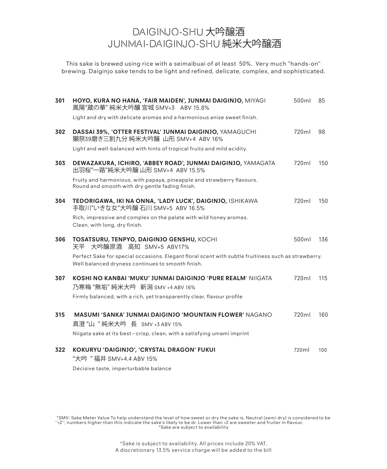# DAIGINJO-SHU 大吟醸酒 JUNMAI-DAIGINJO-SHU 純米大吟醸酒

This sake is brewed using rice with a seimaibuai of at least 50%. Very much "hands-on" brewing. Daiginjo sake tends to be light and refined, delicate, complex, and sophisticated.

| 301 | HOYO, KURA NO HANA, 'FAIR MAIDEN', JUNMAI DAIGINJO, MIYAGI<br>鳳陽"蔵の華" 純米大吟釀 宮城 SMV+3 ABV 15.8%                                                           | 500ml | 85  |
|-----|----------------------------------------------------------------------------------------------------------------------------------------------------------|-------|-----|
|     | Light and dry with delicate aromas and a harmonious anise sweet finish.                                                                                  |       |     |
| 302 | DASSAI 39%, 'OTTER FESTIVAL' JUNMAI DAIGINJO, YAMAGUCHI<br>獺祭39磨き三割九分 純米大吟醸 山形 SMV+4 ABV 16%                                                             | 720ml | 98  |
|     | Light and well-balanced with hints of tropical fruits and mild acidity.                                                                                  |       |     |
| 303 | DEWAZAKURA, ICHIRO, 'ABBEY ROAD', JUNMAI DAIGINJO, YAMAGATA<br>出羽桜"一路"純米大吟醸 山形 SMV+4 ABV 15.5%                                                           | 720ml | 150 |
|     | Fruity and harmonious, with papaya, pineapple and strawberry flavours.<br>Round and smooth with dry gentle fading finish.                                |       |     |
| 304 | TEDORIGAWA, IKI NA ONNA, 'LADY LUCK', DAIGINJO, ISHIKAWA<br>手取川"いきな女"大吟醸 石川 SMV+5 ABV 16.5%                                                              | 720ml | 150 |
|     | Rich, impressive and complex on the palate with wild honey aromas.<br>Clean, with long, dry finish.                                                      |       |     |
| 306 | <b>TOSATSURU, TENPYO, DAIGINJO GENSHU, KOCHI</b><br>天平 大吟醸原酒 高知 SMV+5 ABV17%                                                                             | 500ml | 136 |
|     | Perfect Sake for special occasions. Elegant floral scent with subtle fruitiness such as strawberry.<br>Well balanced dryness continues to smooth finish. |       |     |
| 307 | <b>KOSHI NO KANBAI 'MUKU' JUNMAI DAIGINJO 'PURE REALM' NIIGATA</b><br>乃寒梅 "無垢" 純米大吟 新潟 SMV +4 ABV 16%                                                    | 720ml | 115 |
|     | Firmly balanced, with a rich, yet transparently clear, flavour profile                                                                                   |       |     |
| 315 | <b>MASUMI 'SANKA' JUNMAI DAIGINJO 'MOUNTAIN FLOWER' NAGANO</b><br>真澄"山"純米大吟 長 SMV +3 ABV 15%                                                             | 720ml | 160 |
|     | Niigata sake at its best-crisp, clean, with a satisfying umami imprint                                                                                   |       |     |
| 322 | <b>KOKURYU 'DAIGINJO', 'CRYSTAL DRAGON' FUKUI</b><br>"大吟 " 福井 SMV+4.4 ABV 15%                                                                            | 720ml | 100 |
|     | Decisive taste, imperturbable balance                                                                                                                    |       |     |

\*SMV: Sake Meter Value To help understand the level of how sweet or dry the sake is. Neutral (semi-dry) is considered to be<br>"+2", numbers higher than this indicate the sake's likely to be dr. Lower than +2 are sweeter and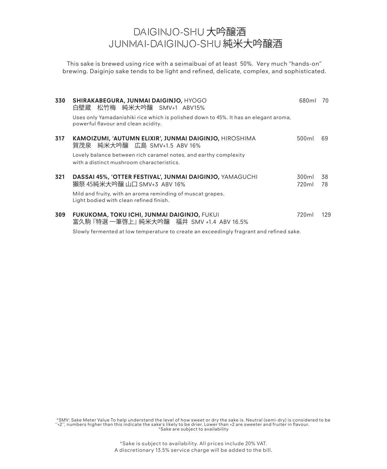# DAIGINJO-SHU 大吟醸酒 JUNMAI-DAIGINJO-SHU 純米大吟醸酒

This sake is brewed using rice with a seimaibuai of at least 50%. Very much "hands-on" brewing. Daiginjo sake tends to be light and refined, delicate, complex, and sophisticated.

| 330 | SHIRAKABEGURA, JUNMAI DAIGINJO, HYOGO<br>白壁蔵 松竹梅 純米大吟醸 SMV+1 ABV15%                                                         | 680ml             | 70       |
|-----|-----------------------------------------------------------------------------------------------------------------------------|-------------------|----------|
|     | Uses only Yamadanishiki rice which is polished down to 45%. It has an elegant aroma,<br>powerful flavour and clean acidity. |                   |          |
| 317 | KAMOIZUMI, 'AUTUMN ELIXIR', JUNMAI DAIGINJO, HIROSHIMA<br>賀茂泉 純米大吟醸 広島 SMV+1.5 ABV 16%                                      | 500 <sub>ml</sub> | 69       |
|     | Lovely balance between rich caramel notes, and earthy complexity<br>with a distinct mushroom characteristics.               |                   |          |
| 321 | DASSAI 45%, 'OTTER FESTIVAL', JUNMAI DAIGINJO, YAMAGUCHI<br>獺祭 45純米大吟醸 山口 SMV+3 ABV 16%                                     | 300ml<br>720ml    | 38<br>78 |
|     | Mild and fruity, with an aroma reminding of muscat grapes.<br>Light bodied with clean refined finish.                       |                   |          |
| 309 | <b>FUKUKOMA, TOKU ICHI, JUNMAI DAIGINJO, FUKUI</b><br>富久駒 『特選 一筆啓上』 純米大吟醸 福井 SMV +1.4 ABV 16.5%                             | 720ml             | 129      |
|     | Slowly fermented at low temperature to create an exceedingly fragrant and refined sake.                                     |                   |          |

\*SMV: Sake Meter Value To help understand the level of how sweet or dry the sake is. Neutral (semi-dry) is considered to be<br>"+2", numbers higher than this indicate the sake's likely to be drier. Lower than +2 are sweeter a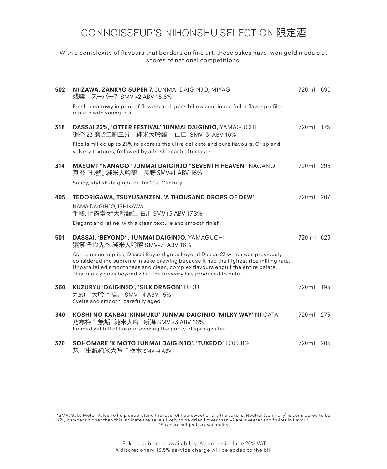# CONNOISSEUR'S NIHONSHU SELECTION 限定酒

With a complexity of flavours that borders on fine art, these sakes have won gold medals at scores of national competitions.

| 502 | NIIZAWA, ZANKYO SUPER 7, JUNMAI DAIGINJO, MIYAGI<br>残響 スーパー7 SMV +2 ABV 15.8%                                                                                                                                                                                                                                              | 720ml 690  |  |
|-----|----------------------------------------------------------------------------------------------------------------------------------------------------------------------------------------------------------------------------------------------------------------------------------------------------------------------------|------------|--|
|     | Fresh meadowy imprint of flowers and grass billows out into a fuller flavor profile<br>replete with young fruit.                                                                                                                                                                                                           |            |  |
| 318 | DASSAI 23%, 'OTTER FESTIVAL' JUNMAI DAIGINJO, YAMAGUCHI<br>獺祭 23 磨き二割三分 純米大吟醸 山口 SMV+3 ABV 16%                                                                                                                                                                                                                             | 720ml 175  |  |
|     | Rice is milled up to 23% to express the ultra delicate and pure flavours. Crisp and<br>velvety textures, followed by a fresh peach aftertaste.                                                                                                                                                                             |            |  |
| 314 | <b>MASUMI "NANAGO" JUNMAI DAIGINJO "SEVENTH HEAVEN" NAGANO</b><br>真澄 『七號』 純米大吟醸 - 長野 SMV+1 ABV 16%                                                                                                                                                                                                                         | 720ml 295  |  |
|     | Saucy, stylish daiginjo for the 21st Century.                                                                                                                                                                                                                                                                              |            |  |
| 405 | TEDORIGAWA, TSUYUSANZEN, 'A THOUSAND DROPS OF DEW'                                                                                                                                                                                                                                                                         | 720ml 207  |  |
|     | NAMA DAIGINJO, ISHIKAWA<br>手取川"露堂々"大吟釀生 石川 SMV+5 ABV 17.3%                                                                                                                                                                                                                                                                 |            |  |
|     | Elegant and refine, with a clean texture and smooth finish                                                                                                                                                                                                                                                                 |            |  |
| 501 | DASSAI, 'BEYOND', JUNMAI DAIGINJO, YAMAGUCHI<br>獺祭 その先へ 純米大吟醸 SMV+3 ABV 16%                                                                                                                                                                                                                                                | 720 ml 625 |  |
|     | As the name implies, Dassai Beyond goes beyond Dassai 23 which was previously<br>considered the supreme in sake brewing because it had the highest rice milling rate.<br>Unparallelled smoothness and clean, complex flavours engulf the entire palate.<br>This quality goes beyond what the brewery has produced to date. |            |  |
| 360 | <b>KUZURYU 'DAIGINJO', 'SILK DRAGON' FUKUI</b><br>九頭 "大吟"福井 SMV +4 ABV 15%<br>Svelte and smooth, carefully aged                                                                                                                                                                                                            | 720ml 195  |  |
| 340 | KOSHI NO KANBAI 'KINMUKU' JUNMAI DAIGINJO 'MILKY WAY' NIIGATA<br>乃寒梅 "無垢"純米大吟 新潟 SMV +3 ABV 16%<br>Refined yet full of flavour, evoking the purity of springwater                                                                                                                                                          | 720ml 275  |  |
| 370 | SOHOMARE 'KIMOTO JUNMAI DAIGINJO', 'TUXEDO' TOCHIGI<br>"生酛純米大吟 " 栃木 SMV+4 ABV<br>惣                                                                                                                                                                                                                                         | 720ml 205  |  |

\*SMV: Sake Meter Value To help understand the level of how sweet or dry the sake is. Neutral (semi-dry) is considered to be<br>"+2", numbers higher than this indicate the sake's likely to be drier. Lower than +2 are sweeter a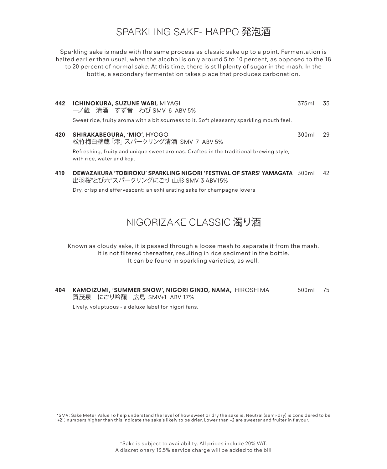# SPARKLING SAKE- HAPPO 発泡酒

Sparkling sake is made with the same process as classic sake up to a point. Fermentation is halted earlier than usual, when the alcohol is only around 5 to 10 percent, as opposed to the 18 to 20 percent of normal sake. At this time, there is still plenty of sugar in the mash. In the bottle, a secondary fermentation takes place that produces carbonation.

- **442 ICHINOKURA, SUZUNE WABI, MIYAGI 375 MILLION 375 MILLION 375 MILLION 375 MILLION 375 MILLION 375 MILLION 37** 一ノ蔵 清酒 すず音 わび SMV - 6 ABV 5% Sweet rice, fruity aroma with a bit sourness to it. Soft pleasanty sparkling mouth feel.
- **420 SHIRAKABEGURA, 'MIO',** HYOGO 300ml 29 松竹梅白壁蔵 |澪」 スパークリング清酒 SMV 7 ABV 5% Refreshing, fruity and unique sweet aromas. Crafted in the traditional brewing style, with rice, water and koji.
- **419 DEWAZAKURA 'TOBIROKU' SPARKLING NIGORI 'FESTIVAL OF STARS' YAMAGATA** 300ml 42 出羽桜"とび六"スパークリングにごり 山形 SMV-3 ABV15%

Dry, crisp and effervescent: an exhilarating sake for champagne lovers

### NIGORIZAKE CLASSIC 濁り洒

Known as cloudy sake, it is passed through a loose mesh to separate it from the mash. It is not filtered thereafter, resulting in rice sediment in the bottle. It can be found in sparkling varieties, as well.

**404 KAMOIZUMI, 'SUMMER SNOW', NIGORI GINJO, NAMA,** HIROSHIMA 500ml 75 賀茂泉 にごり吟醸 広島 SMV+1 ABV 17%

Lively, voluptuous - a deluxe label for nigori fans.

\*SMV: Sake Meter Value To help understand the level of how sweet or dry the sake is. Neutral (semi-dry) is considered to be ''+2'', numbers higher than this indicate the sake's likely to be drier. Lower than +2 are sweeter and fruiter in flavour.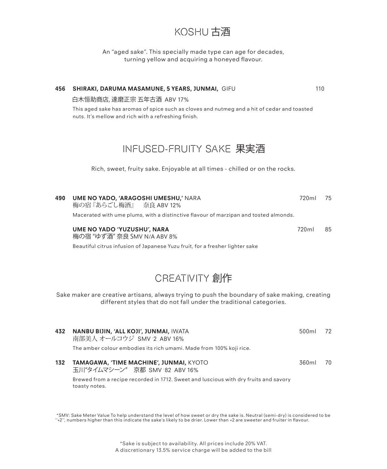### KOSHU 古酒

An "aged sake". This specially made type can age for decades, turning yellow and acquiring a honeyed flavour.

# **456 SHIRAKI, DARUMA MASAMUNE, 5 YEARS, JUNMAI,** GIFU 110 白木恒助商店, 達磨正宗 五年古酒 ABV 17% This aged sake has aromas of spice such as cloves and nutmeg and a hit of cedar and toasted nuts. It's mellow and rich with a refreshing finish. INFUSED-FRUITY SAKE 果実酒 Rich, sweet, fruity sake. Enjoyable at all times - chilled or on the rocks. **490 UME NO YADO, 'ARAGOSHI UMESHU,'** NARA 720ml 75 梅の宿『あらごし梅酒』 奈良 ABV 12% Macerated with ume plums, with a distinctive flavour of marzipan and tosted almonds. **UME NO YADO 'YUZUSHU', NARA** 720ml 85 梅の宿 "ゆず酒" 奈良 SMV N/A ABV 8%

Beautiful citrus infusion of Japanese Yuzu fruit, for a fresher lighter sake

# CREATIVITY 創作

Sake maker are creative artisans, always trying to push the boundary of sake making, creating different styles that do not fall under the traditional categories.

| 432 | <b>NANBU BIJIN, 'ALL KOJI', JUNMAI, IWATA</b><br>南部美人 オールコウジ SMV 2 ABV 16%<br>The amber colour embodies its rich umami. Made from 100% koji rice. | 500 m | - 72 |
|-----|---------------------------------------------------------------------------------------------------------------------------------------------------|-------|------|
| 132 | <b>TAMAGAWA, 'TIME MACHINE', JUNMAI, KYOTO</b><br>玉川"タイムマシーン" 京都 SMV 82 ABV 16%                                                                   | 360mL | 70   |

Brewed from a recipe recorded in 1712. Sweet and luscious with dry fruits and savory toasty notes.

\*SMV: Sake Meter Value To help understand the level of how sweet or dry the sake is. Neutral (semi-dry) is considered to be ''+2'', numbers higher than this indicate the sake's likely to be drier. Lower than +2 are sweeter and fruiter in flavour.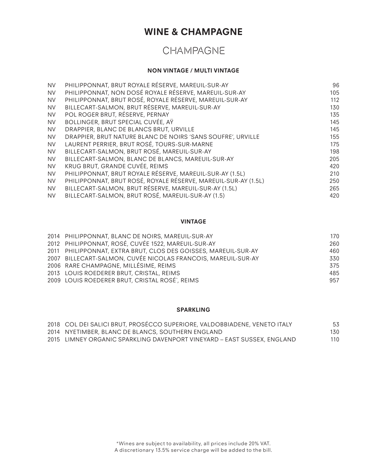## **WINE & CHAMPAGNE**

# CHAMPAGNE

#### **NON VINTAGE / MULTI VINTAGE**

| <b>NV</b> | PHILIPPONNAT, BRUT ROYALE RÉSERVE, MAREUIL-SUR-AY              | 96  |
|-----------|----------------------------------------------------------------|-----|
| <b>NV</b> | PHILIPPONNAT, NON DOSÉ ROYALE RÉSERVE, MAREUIL-SUR-AY          | 105 |
| <b>NV</b> | PHILIPPONNAT, BRUT ROSÉ, ROYALE RÉSERVE, MAREUIL-SUR-AY        | 112 |
| <b>NV</b> | BILLECART-SALMON, BRUT RÉSERVE, MAREUIL-SUR-AY                 | 130 |
| <b>NV</b> | POL ROGER BRUT, RÉSERVE, PERNAY                                | 135 |
| <b>NV</b> | BOLLINGER, BRUT SPECIAL CUVÉE, AY                              | 145 |
| <b>NV</b> | DRAPPIER, BLANC DE BLANCS BRUT, URVILLE                        | 145 |
| <b>NV</b> | DRAPPIER, BRUT NATURE BLANC DE NOIRS 'SANS SOUFRE', URVILLE    | 155 |
| <b>NV</b> | LAURENT PERRIER, BRUT ROSÉ, TOURS-SUR-MARNE                    | 175 |
| <b>NV</b> | BILLECART-SALMON, BRUT ROSÉ, MAREUIL-SUR-AY                    | 198 |
| <b>NV</b> | BILLECART-SALMON, BLANC DE BLANCS, MAREUIL-SUR-AY              | 205 |
| <b>NV</b> | KRUG BRUT, GRANDE CUVÉE, REIMS                                 | 420 |
| <b>NV</b> | PHILIPPONNAT, BRUT ROYALE RÉSERVE, MAREUIL-SUR-AY (1.5L)       | 210 |
| <b>NV</b> | PHILIPPONNAT, BRUT ROSÉ, ROYALE RÉSERVE, MAREUIL-SUR-AY (1.5L) | 250 |
| <b>NV</b> | BILLECART-SALMON, BRUT RÉSERVE, MAREUIL-SUR-AY (1.5L)          | 265 |
| <b>NV</b> | BILLECART-SALMON, BRUT ROSÉ, MAREUIL-SUR-AY (1.5)              | 420 |

#### **VINTAGE**

| 2014 PHILIPPONNAT, BLANC DE NOIRS, MAREUIL-SUR-AY               | 170 |
|-----------------------------------------------------------------|-----|
| 2012 PHILIPPONNAT, ROSÉ, CUVÉE 1522, MAREUIL-SUR-AY             | 260 |
| 2011 PHILIPPONNAT, EXTRA BRUT, CLOS DES GOISSES, MAREUIL-SUR-AY | 460 |
| 2007 BILLECART-SALMON, CUVÉE NICOLAS FRANCOIS, MAREUIL-SUR-AY   | 330 |
| 2006 RARE CHAMPAGNE, MILLÉSIME, REIMS                           | 375 |
| 2013 LOUIS ROEDERER BRUT, CRISTAL, REIMS                        | 485 |
| 2009 LOUIS ROEDERER BRUT, CRISTAL ROSÉ`, REIMS                  | 957 |

#### **SPARKLING**

| 2018 COL DEI SALICI BRUT, PROSECCO SUPERIORE, VALDOBBIADENE, VENETO ITALY | 53  |
|---------------------------------------------------------------------------|-----|
| 2014 NYETIMBER, BLANC DE BLANCS, SOUTHERN ENGLAND                         | 130 |
| 2015 LIMNEY ORGANIC SPARKLING DAVENPORT VINEYARD – EAST SUSSEX, ENGLAND   | 110 |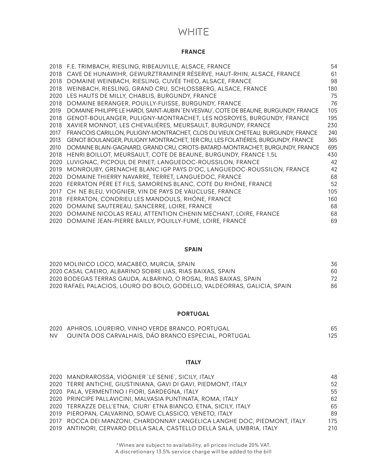## **WHITE**

#### **FRANCE**

|      | 2018 F.E. TRIMBACH, RIESLING, RIBEAUVILLE, ALSACE, FRANCE                            | 54  |
|------|--------------------------------------------------------------------------------------|-----|
| 2018 | CAVE DE HUNAWIHR, GEWURZTRAMINER RÉSERVE, HAUT-RHIN, ALSACE, FRANCE                  | 61  |
| 2018 | DOMAINE WEINBACH, RIESLING, CUVÉE THEO, ALSACE, FRANCE                               | 98  |
| 2018 | WEINBACH, RIESLING, GRAND CRU, SCHLOSSBERG, ALSACE, FRANCE                           | 180 |
| 2020 | LES HAUTS DE MILLY, CHABLIS, BURGUNDY, FRANCE                                        | 75  |
| 2018 | DOMAINE BERANGER, POUILLY-FUISSE, BURGUNDY, FRANCE                                   | 76  |
| 2019 | DOMAINE PHILIPPE LE HARDI, SAINT-AUBIN `EN VESVAU`, COTE DE BEAUNE, BURGUNDY, FRANCE | 105 |
| 2018 | GENOT-BOULANGER, PULIGNY-MONTRACHET, LES NOSROYES, BURGUNDY, FRANCE                  | 195 |
| 2018 | XAVIER MONNOT, LES CHEVALIÉRES, MEURSAULT, BURGUNDY, FRANCE                          | 230 |
| 2017 | FRANCOIS CARILLON, PULIGNY-MONTRACHET, CLOS DU VIEUX CHETEAU, BURGUNDY, FRANCE       | 240 |
| 2013 | GENOT BOULANGER, PULIGNY MONTRACHET, 1ER CRU, LES FOLATIÉRES, BURGUNDY, FRANCE       | 365 |
| 2010 | DOMAINE BLAIN-GAGNARD, GRAND CRU, CRIOTS-BATARD-MONTRACHET, BURGUNDY, FRANCE         | 695 |
| 2018 | HENRI BOILLOT, MEURSAULT, COTE DE BEAUNE, BURGUNDY, FRANCE 1.5L                      | 430 |
| 2020 | LUVIGNAC, PICPOUL DE PINET, LANGUEDOC-ROUSSILON, FRANCE                              | 42  |
| 2019 | MONROUBY, GRENACHE BLANC IGP PAYS D'OC, LANGUEDOC-ROUSSILON, FRANCE                  | 42  |
| 2020 | DOMAINE THIERRY NAVARRE, TERRET, LANGUEDOC, FRANCE                                   | 68  |
| 2020 | FERRATON PÉRE ET FILS, SAMORENS BLANC, COTE DU RHÓNE, FRANCE                         | 52  |
| 2017 | CH NE BLEU, VIOGNIER, VIN DE PAYS DE VAUCLUSE, FRANCE                                | 105 |
| 2018 | FERRATON, CONDRIEU LES MANDOULS, RHÓNE, FRANCE                                       | 160 |
| 2020 | DOMAINE SAUTEREAU, SANCERRE, LOIRE, FRANCE                                           | 68  |
| 2020 | DOMAINE NICOLAS REAU, ATTENTION CHENIN MECHANT, LOIRE, FRANCE                        | 68  |
| 2020 | DOMAINE JEAN-PIERRE BAILLY, POUILLY-FUME, LOIRE, FRANCE                              | 69  |

#### **SPAIN**

| 2020 MOLINICO LOCO, MACABEO, MURCIA, SPAIN                               | 36 |
|--------------------------------------------------------------------------|----|
| 2020 CASAL CAEIRO, ALBARINO SOBRE LIAS, RIAS BAIXAS, SPAIN               | 60 |
| 2020 BODEGAS TERRAS GAUDA, ALBARINO, O ROSAL, RIAS BAIXAS, SPAIN         | 72 |
| 2020 RAFAEL PALACIOS, LOURO DO BOLO, GODELLO, VALDEORRAS, GALICIA, SPAIN | 86 |

### **PORTUGAL**

|      | 2020 APHROS, LOUREIRO, VINHO VERDE BRANCO, PORTUGAL  | 65  |
|------|------------------------------------------------------|-----|
| NV - | QUINTA DOS CARVALHAIS. DÁO BRANCO ESPECIAL, PORTUGAL | 125 |

#### **ITALY**

| 2020 MANDRAROSSA, VIOGNIER 'LE SENIE', SICILY, ITALY                      | 48  |
|---------------------------------------------------------------------------|-----|
| 2020 TERRE ANTICHE, GIUSTINIANA, GAVI DI GAVI, PIEDMONT, ITALY            | 52  |
| 2020 PALA, VERMENTINO I FIORI, SARDEGNA, ITALY                            | 55  |
| 2020 PRINCIPE PALLAVICINI, MALVASIA PUNTINATA, ROMA, ITALY                | 62  |
| 2020 TERRAZZE DELL'ETNA, `CIURI` ETNA BIANCO, ETNA, SICILY, ITALY         | 65  |
| 2019 PIEROPAN, CALVARINO, SOAVE CLASSICO, VENETO, ITALY                   | 89  |
| 2017 ROCCA DEI MANZONI, CHARDONNAY L'ANGELICA LANGHE DOC, PIEDMONT, ITALY | 175 |
| 2019 ANTINORI, CERVARO DELLA SALA, CASTELLO DELLA SALA, UMBRIA, ITALY     | 210 |
|                                                                           |     |

\*Wines are subject to availability, all prices include 20% VAT. A discretionary 13.5% service charge will be added to the bill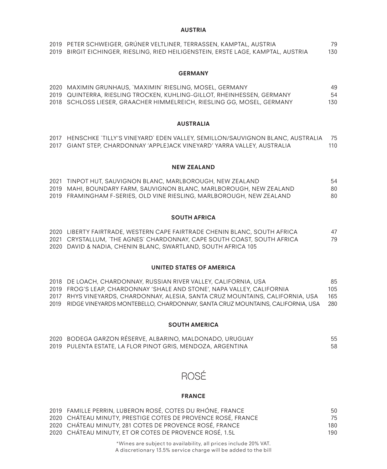#### **AUSTRIA**

| 2019 PETER SCHWEIGER, GRUNER VELTLINER, TERRASSEN, KAMPTAL, AUSTRIA               | 79  |
|-----------------------------------------------------------------------------------|-----|
| 2019 BIRGIT EICHINGER, RIESLING, RIED HEILIGENSTEIN, ERSTE LAGE, KAMPTAL, AUSTRIA | 130 |

#### **GERMANY**

| 2020 MAXIMIN GRUNHAUS, `MAXIMIN` RIESLING, MOSEL, GERMANY              | 49  |
|------------------------------------------------------------------------|-----|
| 2019 QUINTERRA, RIESLING TROCKEN, KUHLING-GILLOT, RHEINHESSEN, GERMANY | 54  |
| 2018 SCHLOSS LIESER, GRAACHER HIMMELREICH, RIESLING GG, MOSEL, GERMANY | 130 |

#### **AUSTRALIA**

| 2017 HENSCHKE `TILLY'S VINEYARD` EDEN VALLEY, SEMILLON/SAUVIGNON BLANC, AUSTRALIA 75 |     |
|--------------------------------------------------------------------------------------|-----|
| 2017    GIANT STEP, CHARDONNAY 'APPLEJACK VINEYARD' YARRA VALLEY, AUSTRALIA          | 110 |

#### **NEW ZEALAND**

| 2021 TINPOT HUT, SAUVIGNON BLANC, MARLBOROUGH, NEW ZEALAND            | 54 |
|-----------------------------------------------------------------------|----|
| 2019 MAHI, BOUNDARY FARM, SAUVIGNON BLANC, MARLBOROUGH, NEW ZEALAND   | 80 |
| 2019 FRAMINGHAM F-SERIES, OLD VINE RIESLING, MARLBOROUGH, NEW ZEALAND | 80 |

#### **SOUTH AFRICA**

| 2020 LIBERTY FAIRTRADE, WESTERN CAPE FAIRTRADE CHENIN BLANC, SOUTH AFRICA | 47 |
|---------------------------------------------------------------------------|----|
| 2021 CRYSTALLUM, `THE AGNES` CHARDONNAY, CAPE SOUTH COAST, SOUTH AFRICA   | 79 |
| 2020 DAVID & NADIA, CHENIN BLANC, SWARTLAND, SOUTH AFRICA 105             |    |

#### **UNITED STATES OF AMERICA**

| 2018 DE LOACH, CHARDONNAY, RUSSIAN RIVER VALLEY, CALIFORNIA, USA                   | 85  |
|------------------------------------------------------------------------------------|-----|
| 2019   FROG'S LEAP, CHARDONNAY 'SHALE AND STONE', NAPA VALLEY, CALIFORNIA          | 105 |
| 2017 - RHYS VINEYARDS, CHARDONNAY, ALESIA, SANTA CRUZ MOUNTAINS, CALIFORNIA, USA   | 165 |
| 2019 RIDGE VINEYARDS MONTEBELLO, CHARDONNAY, SANTA CRUZ MOUNTAINS, CALIFORNIA, USA | 280 |

#### **SOUTH AMERICA**

| 2020 BODEGA GARZON RESERVE, ALBARINO, MALDONADO, URUGUAY    |    |
|-------------------------------------------------------------|----|
| 2019 PULENTA ESTATE, LA FLOR PINOT GRIS, MENDOZA, ARGENTINA | 58 |

# ROSÉ

#### **FRANCE**

| 2019 FAMILLE PERRIN, LUBERON ROSÉ, COTES DU RHÓNE, FRANCE    | 50  |
|--------------------------------------------------------------|-----|
| 2020 CHÁTEAU MINUTY, PRESTIGE COTES DE PROVENCE ROSÉ, FRANCE | 75  |
| 2020 CHÁTEAU MINUTY, 281 COTES DE PROVENCE ROSÉ, FRANCE      | 180 |
| 2020 CHÁTEAU MINUTY, ET OR COTES DE PROVENCE ROSÉ, 1.5L      | 190 |
|                                                              |     |

\*Wines are subject to availability, all prices include 20% VAT. A discretionary 13.5% service charge will be added to the bill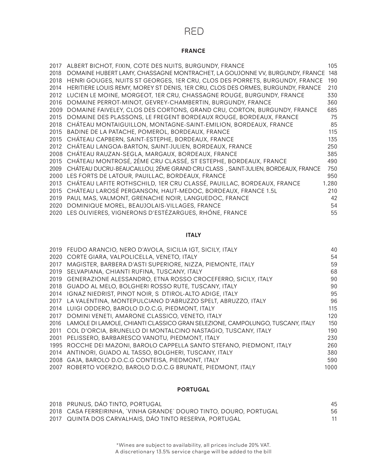### RED

#### **FRANCE**

| 2017 | ALBERT BICHOT, FIXIN, COTE DES NUITS, BURGUNDY, FRANCE                          | 105   |
|------|---------------------------------------------------------------------------------|-------|
| 2018 | DOMAINE HUBERT LAMY, CHASSAGNE MONTRACHET, LA GOUJONNE VV, BURGUNDY, FRANCE     | 148   |
| 2018 | HENRI GOUGES, NUITS ST GEORGES, 1ER CRU, CLOS DES PORRETS, BURGUNDY, FRANCE     | 190   |
| 2014 | HERITIERE LOUIS REMY, MOREY ST DENIS, 1ER CRU, CLOS DES ORMES, BURGUNDY, FRANCE | 210   |
| 2012 | LUCIEN LE MOINE, MORGEOT, 1ER CRU, CHASSAGNE ROUGE, BURGUNDY, FRANCE            | 330   |
| 2016 | DOMAINE PERROT-MINOT, GEVREY-CHAMBERTIN, BURGUNDY, FRANCE                       | 360   |
| 2009 | DOMAINE FAIVELEY, CLOS DES CORTONS, GRAND CRU, CORTON, BURGUNDY, FRANCE         | 685   |
| 2015 | DOMAINE DES PLASSONS, LE FREGENT BORDEAUX ROUGE, BORDEAUX, FRANCE               | 75    |
| 2018 | CHÁTEAU MONTAIGUILLON, MONTAGNE-SAINT-EMILION, BORDEAUX, FRANCE                 | 85    |
| 2015 | BADINE DE LA PATACHE, POMEROL, BORDEAUX, FRANCE                                 | 115   |
|      | 2015 CHATEAU CAPBERN, SAINT-ESTEPHE, BORDEAUX, FRANCE                           | 135   |
|      | 2012 CHÁTEAU LANGOA-BARTON, SAINT-JULIEN, BORDEAUX, FRANCE                      | 250   |
|      | 2008 CHÁTEAU RAUZAN-SEGLA, MARGAUX, BORDEAUX, FRANCE                            | 385   |
|      | 2015 CHÁTEAU MONTROSÉ, 2ÉME CRU CLASSÉ, ST ESTEPHE, BORDEAUX, FRANCE            | 490   |
| 2009 | CHÁTEAU DUCRU-BEAUCAILLOU, 2ÉME GRAND CRU CLASS, SAINT-JULIEN, BORDEAUX, FRANCE | 750   |
|      | 2000 LES FORTS DE LATOUR, PAUILLAC, BORDEAUX, FRANCE                            | 950   |
| 2013 | CHÁTEAU LAFITE ROTHSCHILD, 1ER CRU CLASSÉ, PAUILLAC, BORDEAUX, FRANCE           | 1.280 |
| 2015 | CHÁTEAU LAROSÉ PERGANSON, HAUT-MEDOC, BORDEAUX, FRANCE 1.5L                     | 210   |
| 2019 | PAUL MAS, VALMONT, GRENACHE NOIR, LANGUEDOC, FRANCE                             | 42    |
| 2020 | DOMINIQUE MOREL, BEAUJOLAIS-VILLAGES, FRANCE                                    | 54    |
|      | 2020 LES OLIVIERES, VIGNERONS D'ESTÉZARGUES, RHÓNE, FRANCE                      | 55    |

#### **ITALY**

|      | 2019 FEUDO ARANCIO, NERO D'AVOLA, SICILIA IGT, SICILY, ITALY                  | 40   |
|------|-------------------------------------------------------------------------------|------|
|      | 2020 CORTE GIARA, VALPOLICELLA, VENETO, ITALY                                 | 54   |
| 2017 | MAGISTER, BARBERA D'ASTI SUPERIORE, NIZZA, PIEMONTE, ITALY                    | 59   |
| 2019 | SELVAPIANA, CHIANTI RUFINA, TUSCANY, ITALY                                    | 68   |
| 2019 | GENERAZIONE ALESSANDRO, ETNA ROSSO CROCEFERRO, SICILY, ITALY                  | 90   |
|      | 2018 GUADO AL MELO, BOLGHERI ROSSO RUTE, TUSCANY, ITALY                       | 90   |
| 2014 | IGNAZ NIEDRIST, PINOT NOIR, S DTIROL-ALTO ADIGE, ITALY                        | 95   |
| 2017 | LA VALENTINA, MONTEPULCIANO D'ABRUZZO SPELT, ABRUZZO, ITALY                   | 96   |
| 2014 | LUIGI ODDERO, BAROLO D.O.C.G. PIEDMONT, ITALY                                 | 115  |
| 2017 | DOMINI VENETI, AMARONE CLASSICO, VENETO, ITALY                                | 120  |
| 2016 | LAMOLE DI LAMOLE, CHIANTI CLASSICO GRAN SELEZIONE, CAMPOLUNGO, TUSCANY, ITALY | 150  |
| 2011 | COL D'ORCIA, BRUNELLO DI MONTALCINO NASTAGIO, TUSCANY, ITALY                  | 190  |
| 2001 | PELISSERO, BARBARESCO VANOTU, PIEDMONT, ITALY                                 | 230  |
|      | 1995 ROCCHE DEI MAZONI, BAROLO CAPPELLA SANTO STEFANO, PIEDMONT, ITALY        | 260  |
|      | 2014 ANTINORI, GUADO AL TASSO, BOLGHERI, TUSCANY, ITALY                       | 380  |
| 2008 | GAJA, BAROLO D.O.C.G CONTEISA, PIEDMONT, ITALY                                | 590  |
|      | 2007 ROBERTO VOERZIO, BAROLO D.O.C.G BRUNATE, PIEDMONT, ITALY                 | 1000 |

#### **PORTUGAL**

| 2018 PRUNUS, DAO TINTO, PORTUGAL                                   | 45 |
|--------------------------------------------------------------------|----|
| 2018 CASA FERREIRINHA, `VINHA GRANDE` DOURO TINTO, DOURO, PORTUGAL | 56 |
| 2017 QUINTA DOS CARVALHAIS, DÁO TINTO RESERVA, PORTUGAL            |    |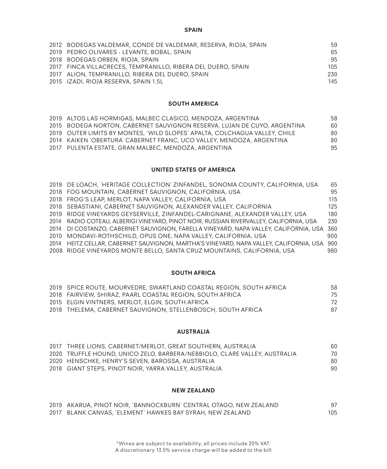#### **SPAIN**

| 2012 BODEGAS VALDEMAR, CONDE DE VALDEMAR, RESERVA, RIOJA, SPAIN | 59  |
|-----------------------------------------------------------------|-----|
| 2019 PEDRO OLIVARES - LEVANTE, BOBAL, SPAIN                     | 65  |
| 2018 BODEGAS ORBEN, RIOJA, SPAIN                                | 95  |
| 2017 FINCA VILLACRECES, TEMPRANILLO, RIBERA DEL DUERO, SPAIN    | 105 |
| 2017 ALION, TEMPRANILLO, RIBERA DEL DUERO, SPAIN                | 230 |
| 2015 IZADI, RIOJA RESERVA, SPAIN 1.5L                           | 145 |

#### **SOUTH AMERICA**

| 2019 ALTOS LAS HORMIGAS, MALBEC CLASICO, MENDOZA, ARGENTINA                | 58 |
|----------------------------------------------------------------------------|----|
| 2015 BODEGA NORTON, CABERNET SAUVIGNON RESERVA, LUJAN DE CUYO, ARGENTINA   | 60 |
| 2019 OUTER LIMITS BY MONTES, `WILD SLOPES` APALTA, COLCHAGUA VALLEY, CHILE | 80 |
| 2014 KAIKEN OBERTURA CABERNET FRANC, UCO VALLEY, MENDOZA, ARGENTINA        | 80 |
| 2017 PULENTA ESTATE, GRAN MALBEC, MENDOZA, ARGENTINA                       | 95 |

#### **UNITED STATES OF AMERICA**

| 2019 DE LOACH, `HERITAGE COLLECTION` ZINFANDEL, SONOMA COUNTY, CALIFORNIA, USA             | 65  |
|--------------------------------------------------------------------------------------------|-----|
| 2018 FOG MOUNTAIN, CABERNET SAUVIGNON, CALIFORNIA, USA                                     | 95  |
| 2018 FROG'S LEAP, MERLOT, NAPA VALLEY, CALIFORNIA, USA                                     | 115 |
| 2018 SEBASTIANI, CABERNET SAUVIGNON, ALEXANDER VALLEY, CALIFORNIA                          | 125 |
| 2019 RIDGE VINEYARDS GEYSERVILLE, ZINFANDEL-CARIGNANE, ALEXANDER VALLEY, USA               | 180 |
| 2014 RADIO COTEAU, ALBERIGI VINEYARD, PINOT NOIR, RUSSIAN RIVERVALLEY, CALIFORNIA, USA     | 230 |
| 2014 DI COSTANZO, CABERNET SAUVIGNON, FARELLA VINEYARD, NAPA VALLEY, CALIFORNIA, USA 360   |     |
| 2010 MONDAVI-ROTHSCHILD, OPUS ONE, NAPA VALLEY, CALIFORNIA, USA                            | 900 |
| 2014 HEITZ CELLAR, CABERNET SAUVIGNON, MARTHA'S VINEYARD, NAPA VALLEY, CALIFORNIA, USA 900 |     |
| 2008 RIDGE VINEYARDS MONTE BELLO, SANTA CRUZ MOUNTAINS, CALIFORNIA, USA                    | 980 |
|                                                                                            |     |

#### **SOUTH AFRICA**

| 2019 SPICE ROUTE, MOURVEDRE, SWARTLAND COASTAL REGION, SOUTH AFRICA | 58 |
|---------------------------------------------------------------------|----|
| 2018 FAIRVIEW, SHIRAZ, PAARL COASTAL REGION, SOUTH AFRICA           | 75 |
| 2015 ELGIN VINTNERS, MERLOT, ELGIN, SOUTH AFRICA                    | 72 |
| 2018 THELEMA, CABERNET SAUVIGNON, STELLENBOSCH, SOUTH AFRICA        | 87 |

#### **AUSTRALIA**

| 2017 THREE LIONS, CABERNET/MERLOT, GREAT SOUTHERN, AUSTRALIA              | 60 |
|---------------------------------------------------------------------------|----|
| 2020 TRUFFLE HOUND, UNICO ZELO, BARBERA/NEBBIOLO, CLARE VALLEY, AUSTRALIA | 70 |
| 2020 HENSCHKE, HENRY'S SEVEN, BAROSSA, AUSTRALIA                          | 80 |
| 2018 GIANT STEPS, PINOT NOIR, YARRA VALLEY, AUSTRALIA                     | 90 |

#### **NEW ZEALAND**

| 2019 AKARUA, PINOT NOIR, `BANNOCKBURN` CENTRAL OTAGO, NEW ZEALAND |     |
|-------------------------------------------------------------------|-----|
| 2017 BLANK CANVAS, `ELEMENT` HAWKES BAY SYRAH, NEW ZEALAND        | 105 |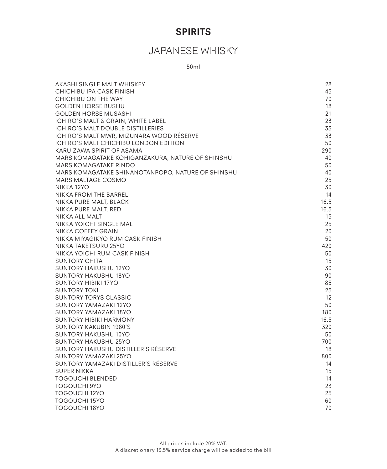# **SPIRITS**

# JAPANESE WHISKY

50ml

| AKASHI SINGLE MALT WHISKEY                                         | 28        |
|--------------------------------------------------------------------|-----------|
| CHICHIBU IPA CASK FINISH                                           | 45        |
| CHICHIBU ON THE WAY                                                | 70        |
| <b>GOLDEN HORSE BUSHU</b>                                          | 18        |
| <b>GOLDEN HORSE MUSASHI</b>                                        | 21        |
| ICHIRO'S MALT & GRAIN, WHITE LABEL                                 | 23        |
| ICHIRO'S MALT DOUBLE DISTILLERIES                                  | 33        |
| ICHIRO'S MALT MWR, MIZUNARA WOOD RÉSERVE                           | 33        |
| ICHIRO'S MALT CHICHIBU LONDON EDITION                              | 50        |
| KARUIZAWA SPIRIT OF ASAMA                                          | 290       |
| MARS KOMAGATAKE KOHIGANZAKURA, NATURE OF SHINSHU                   | 40        |
| MARS KOMAGATAKE RINDO                                              | 50        |
| MARS KOMAGATAKE SHINANOTANPOPO, NATURE OF SHINSHU                  | 40        |
| MARS MALTAGE COSMO                                                 | 25        |
| NIKKA 12YO                                                         | 30        |
| NIKKA FROM THE BARREL                                              | 14        |
| NIKKA PURE MALT, BLACK                                             | 16.5      |
| NIKKA PURE MALT, RED                                               | 16.5      |
| NIKKA ALL MALT                                                     | 15        |
| NIKKA YOICHI SINGLE MALT                                           | 25        |
| NIKKA COFFEY GRAIN                                                 | 20        |
| NIKKA MIYAGIKYO RUM CASK FINISH                                    | 50        |
| NIKKA TAKETSURU 25YO                                               | 420       |
| NIKKA YOICHI RUM CASK FINISH                                       | 50        |
| <b>SUNTORY CHITA</b>                                               | 15        |
| <b>SUNTORY HAKUSHU 12YO</b>                                        | 30        |
| SUNTORY HAKUSHU 18YO                                               | 90        |
| <b>SUNTORY HIBIKI 17YO</b>                                         | 85        |
| <b>SUNTORY TOKI</b>                                                | 25        |
| <b>SUNTORY TORYS CLASSIC</b>                                       | 12        |
| <b>SUNTORY YAMAZAKI 12YO</b>                                       | 50        |
| SUNTORY YAMAZAKI 18YO                                              | 180       |
| <b>SUNTORY HIBIKI HARMONY</b>                                      | 16.5      |
| <b>SUNTORY KAKUBIN 1980'S</b>                                      | 320       |
| SUNTORY HAKUSHU 10YO                                               | 50        |
| <b>SUNTORY HAKUSHU 25YO</b><br>SUNTORY HAKUSHU DISTILLER'S RËSERVE | 700<br>18 |
| SUNTORY YAMAZAKI 25YO                                              | 800       |
| SUNTORY YAMAZAKI DISTILLER'S RÉSERVE                               | 14        |
| <b>SUPER NIKKA</b>                                                 | 15        |
| <b>TOGOUCHI BLENDED</b>                                            | 14        |
| <b>TOGOUCHI 9YO</b>                                                | 23        |
| TOGOUCHI 12YO                                                      | 25        |
| <b>TOGOUCHI 15YO</b>                                               | 60        |
| <b>TOGOUCHI 18YO</b>                                               | 70        |
|                                                                    |           |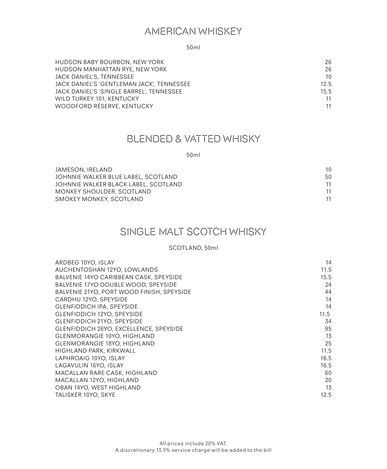# AMERICAN WHISKEY

50ml

| HUDSON BABY BOURBON, NEW YORK             | 26              |
|-------------------------------------------|-----------------|
| HUDSON MANHATTAN RYE, NEW YORK            | 26              |
| JACK DANIEL'S, TENNESSEE                  | 10 <sup>1</sup> |
| JACK DANIEL'S 'GENTLEMAN JACK', TENNESSEE | 12.5            |
| JACK DANIEL'S 'SINGLE BARREL', TENNESSEE  | 15.5            |
| WILD TURKEY 101, KENTUCKY                 | 11              |
| WOODFORD RÉSERVE, KENTUCKY                | 11              |

### BLENDED & VATTED WHISKY

50ml

| JAMESON, IRELAND                     | 10 |
|--------------------------------------|----|
| JOHNNIE WALKER BLUE LABEL, SCOTLAND  | 50 |
| JOHNNIE WALKER BLACK LABEL, SCOTLAND | 11 |
| MONKEY SHOULDER, SCOTLAND            | 11 |
| SMOKEY MONKEY, SCOTLAND              | 11 |
|                                      |    |

# SINGLE MALT SCOTCH WHISKY

#### SCOTLAND, 50ml

| ARDBEG 10YO, ISLAY                        | 14   |
|-------------------------------------------|------|
| AUCHENTOSHAN 12YO, LOWLANDS               | 11.5 |
| BALVENIE 14YO CARIBBEAN CASK, SPEYSIDE    | 15.5 |
| BALVENIE 17YO DOUBLE WOOD, SPEYSIDE       | 24   |
| BALVENIE 21YO, PORT WOOD FINISH, SPEYSIDE | 44   |
| CARDHU 12YO, SPEYSIDE                     | 14   |
| <b>GLENFIDDICH IPA, SPEYSIDE</b>          | 14   |
| <b>GLENFIDDICH 12YO, SPEYSIDE</b>         | 11.5 |
| <b>GLENFIDDICH 21YO, SPEYSIDE</b>         | 34   |
| GLENFIDDICH 26YO, EXCELLENCE, SPEYSIDE    | 95   |
| <b>GLENMORANGIE 10YO, HIGHLAND</b>        | 13   |
| <b>GLENMORANGIE 18YO, HIGHLAND</b>        | 25   |
| HIGHLAND PARK, KIRKWALL                   | 11.5 |
| LAPHROAIG 10YO, ISLAY                     | 16.5 |
| LAGAVULIN 16YO, ISLAY                     | 16.5 |
| MACALLAN RARE CASK, HIGHLAND              | 60   |
| MACALLAN 12YO, HIGHLAND                   | 20   |
| OBAN 14YO, WEST HIGHLAND                  | 13   |
| TALISKER 10YO, SKYE                       | 12.5 |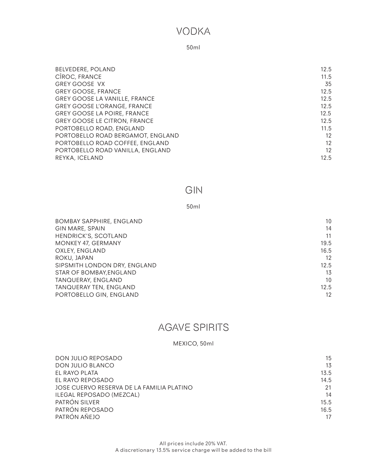### VODKA

#### 50ml

| BELVEDERE, POLAND                    | 12.5 |
|--------------------------------------|------|
| CÎROC, FRANCE                        | 11.5 |
| <b>GREY GOOSE VX</b>                 | 35   |
| <b>GREY GOOSE, FRANCE</b>            | 12.5 |
| <b>GREY GOOSE LA VANILLE, FRANCE</b> | 12.5 |
| <b>GREY GOOSE L'ORANGE, FRANCE</b>   | 12.5 |
| <b>GREY GOOSE LA POIRE, FRANCE</b>   | 12.5 |
| <b>GREY GOOSE LE CITRON, FRANCE</b>  | 12.5 |
| PORTOBELLO ROAD, ENGLAND             | 11.5 |
| PORTOBELLO ROAD BERGAMOT, ENGLAND    | 12   |
| PORTOBELLO ROAD COFFEE, ENGLAND      | 12   |
| PORTOBELLO ROAD VANILLA, ENGLAND     | 12   |
| REYKA, ICELAND                       | 12.5 |
|                                      |      |

### GIN

#### 50ml

| <b>BOMBAY SAPPHIRE, ENGLAND</b> | 10   |
|---------------------------------|------|
| <b>GIN MARE, SPAIN</b>          | 14   |
| HENDRICK'S, SCOTLAND            | 11   |
| <b>MONKEY 47, GERMANY</b>       | 19.5 |
| OXLEY, ENGLAND                  | 16.5 |
| ROKU, JAPAN                     | 12   |
| SIPSMITH LONDON DRY, ENGLAND    | 12.5 |
| STAR OF BOMBAY, ENGLAND         | 13   |
| TANQUERAY, ENGLAND              | 10   |
| TANQUERAY TEN, ENGLAND          | 12.5 |
| PORTOBELLO GIN, ENGLAND         | 12   |

# AGAVE SPIRITS

#### MEXICO, 50ml

| DON JULIO REPOSADO                        | 15   |
|-------------------------------------------|------|
| DON JULIO BLANCO                          | 13   |
| EL RAYO PLATA                             | 13.5 |
| EL RAYO REPOSADO                          | 14.5 |
| JOSE CUERVO RESERVA DE LA FAMILIA PLATINO | 21   |
| ILEGAL REPOSADO (MEZCAL)                  | 14   |
| PATRÓN SILVER                             | 15.5 |
| PATRÓN REPOSADO                           | 16.5 |
| PATRÓN AÑEJO                              | 17   |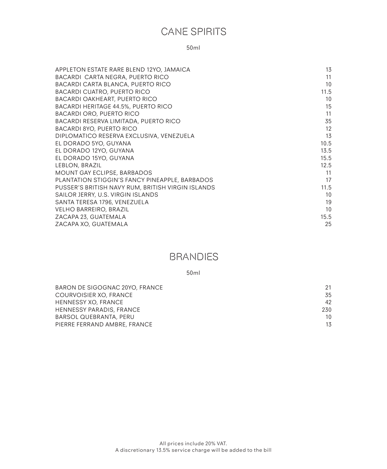# CANE SPIRITS

50ml

| APPLETON ESTATE RARE BLEND 12YO, JAMAICA          | 13   |
|---------------------------------------------------|------|
| BACARDI CARTA NEGRA, PUERTO RICO                  | 11   |
| BACARDI CARTA BLANCA, PUERTO RICO                 | 10   |
| <b>BACARDI CUATRO, PUERTO RICO</b>                | 11.5 |
| <b>BACARDI OAKHEART, PUERTO RICO</b>              | 10   |
| <b>BACARDI HERITAGE 44.5%, PUERTO RICO</b>        | 15   |
| <b>BACARDI ORO, PUERTO RICO</b>                   | 11   |
| BACARDI RESERVA LIMITADA, PUERTO RICO             | 35   |
| BACARDI 8YO, PUERTO RICO                          | 12   |
| DIPLOMATICO RESERVA EXCLUSIVA, VENEZUELA          | 13   |
| EL DORADO 5YO, GUYANA                             | 10.5 |
| EL DORADO 12YO, GUYANA                            | 13.5 |
| EL DORADO 15YO, GUYANA                            | 15.5 |
| LEBLON, BRAZIL                                    | 12.5 |
| MOUNT GAY ECLIPSE, BARBADOS                       | 11   |
| PLANTATION STIGGIN'S FANCY PINEAPPLE, BARBADOS    | 17   |
| PUSSER'S BRITISH NAVY RUM, BRITISH VIRGIN ISLANDS | 11.5 |
| SAILOR JERRY, U.S. VIRGIN ISLANDS                 | 10   |
| SANTA TERESA 1796, VENEZUELA                      | 19   |
| <b>VELHO BARREIRO, BRAZIL</b>                     | 10   |
| ZACAPA 23, GUATEMALA                              | 15.5 |
| ZACAPA XO, GUATEMALA                              | 25   |

## BRANDIES

50ml

| BARON DE SIGOGNAC 20YO, FRANCE  | 21  |
|---------------------------------|-----|
| COURVOISIER XO, FRANCE          | 35  |
| HENNESSY XO, FRANCE             | 42  |
| <b>HENNESSY PARADIS, FRANCE</b> | 230 |
| BARSOL QUEBRANTA, PERU          | 10  |
| PIERRE FERRAND AMBRE, FRANCE    | 13  |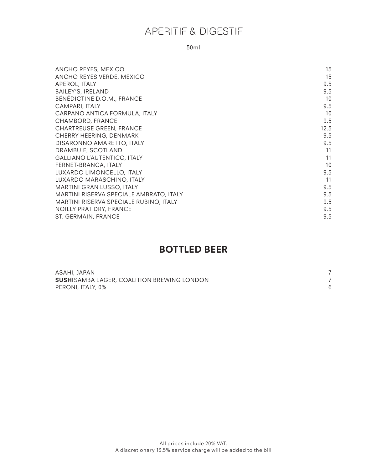# APERITIF & DIGESTIF

50ml

| ANCHO REYES, MEXICO                     | 15   |
|-----------------------------------------|------|
| ANCHO REYES VERDE, MEXICO               | 15   |
| APEROL, ITALY                           | 9.5  |
| BAILEY'S, IRELAND                       | 9.5  |
| BÉNÉDICTINE D.O.M., FRANCE              | 10   |
| CAMPARI, ITALY                          | 9.5  |
| CARPANO ANTICA FORMULA, ITALY           | 10   |
| CHAMBORD, FRANCE                        | 9.5  |
| <b>CHARTREUSE GREEN, FRANCE</b>         | 12.5 |
| CHERRY HEERING, DENMARK                 | 9.5  |
| DISARONNO AMARETTO, ITALY               | 9.5  |
| DRAMBUIE, SCOTLAND                      | 11   |
| <b>GALLIANO L'AUTENTICO, ITALY</b>      | 11   |
| FERNET-BRANCA, ITALY                    | 10   |
| LUXARDO LIMONCELLO, ITALY               | 9.5  |
| LUXARDO MARASCHINO, ITALY               | 11   |
| MARTINI GRAN LUSSO, ITALY               | 9.5  |
| MARTINI RISERVA SPECIALE AMBRATO, ITALY | 9.5  |
| MARTINI RISERVA SPECIALE RUBINO, ITALY  | 9.5  |
| NOILLY PRAT DRY, FRANCE                 | 9.5  |
| ST. GERMAIN, FRANCE                     | 9.5  |

# **BOTTLED BEER**

| ASAHI, JAPAN                                       |  |
|----------------------------------------------------|--|
| <b>SUSHI</b> SAMBA LAGER, COALITION BREWING LONDON |  |
| PERONI, ITALY, 0%                                  |  |